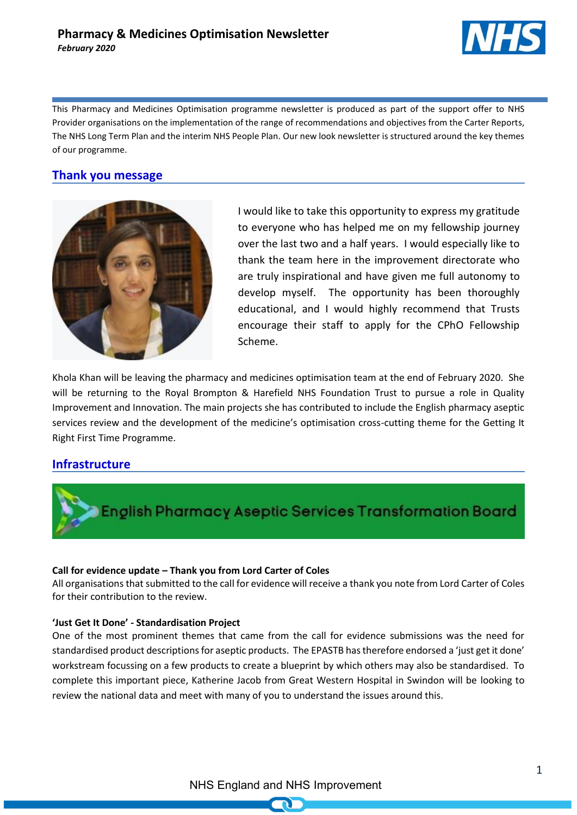

This Pharmacy and Medicines Optimisation programme newsletter is produced as part of the support offer to NHS Provider organisations on the implementation of the range of recommendations and objectives from the Carter Reports, The NHS Long Term Plan and the interim NHS People Plan. Our new look newsletter is structured around the key themes of our programme.

# **Thank you message**



I would like to take this opportunity to express my gratitude to everyone who has helped me on my fellowship journey over the last two and a half years. I would especially like to thank the team here in the improvement directorate who are truly inspirational and have given me full autonomy to develop myself. The opportunity has been thoroughly educational, and I would highly recommend that Trusts encourage their staff to apply for the CPhO Fellowship Scheme.

Khola Khan will be leaving the pharmacy and medicines optimisation team at the end of February 2020. She will be returning to the Royal Brompton & Harefield NHS Foundation Trust to pursue a role in Quality Improvement and Innovation. The main projects she has contributed to include the English pharmacy aseptic services review and the development of the medicine's optimisation cross-cutting theme for the Getting It Right First Time Programme.

## **Infrastructure**



## **Call for evidence update – Thank you from Lord Carter of Coles**

All organisations that submitted to the call for evidence will receive a thank you note from Lord Carter of Coles for their contribution to the review.

## **'Just Get It Done' - Standardisation Project**

One of the most prominent themes that came from the call for evidence submissions was the need for standardised product descriptions for aseptic products. The EPASTB has therefore endorsed a 'just get it done' workstream focussing on a few products to create a blueprint by which others may also be standardised. To complete this important piece, Katherine Jacob from Great Western Hospital in Swindon will be looking to review the national data and meet with many of you to understand the issues around this.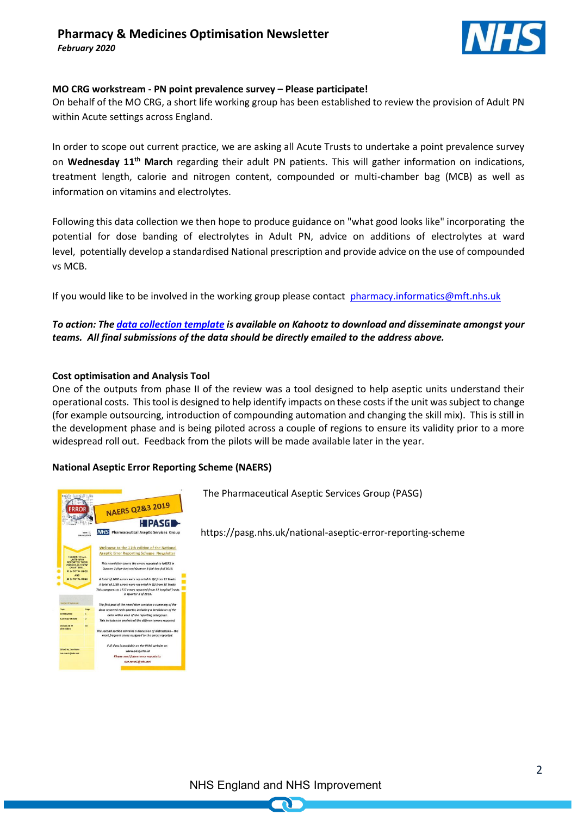

#### **MO CRG workstream - PN point prevalence survey – Please participate!**

On behalf of the MO CRG, a short life working group has been established to review the provision of Adult PN within Acute settings across England.

In order to scope out current practice, we are asking all Acute Trusts to undertake a point prevalence survey on **Wednesday 11th March** regarding their adult PN patients. This will gather information on indications, treatment length, calorie and nitrogen content, compounded or multi-chamber bag (MCB) as well as information on vitamins and electrolytes.

Following this data collection we then hope to produce guidance on "what good looks like" incorporating the potential for dose banding of electrolytes in Adult PN, advice on additions of electrolytes at ward level, potentially develop a standardised National prescription and provide advice on the use of compounded vs MCB.

If you would like to be involved in the working group please contact [pharmacy.informatics@mft.nhs.uk](mailto:pharmacy.informatics@mft.nhs.uk)

### *To action: Th[e data collection template](https://future.nhs.uk/HoPMOp/view?objectId=64475429) is available on Kahootz to download and disseminate amongst your teams. All final submissions of the data should be directly emailed to the address above.*

#### **Cost optimisation and Analysis Tool**

One of the outputs from phase II of the review was a tool designed to help aseptic units understand their operational costs. This tool is designed to help identify impacts on these costs if the unit was subject to change (for example outsourcing, introduction of compounding automation and changing the skill mix). This is still in the development phase and is being piloted across a couple of regions to ensure its validity prior to a more widespread roll out. Feedback from the pilots will be made available later in the year.

#### **National Aseptic Error Reporting Scheme (NAERS)**



The Pharmaceutical Aseptic Services Group (PASG)

https://pasg.nhs.uk/national-aseptic-error-reporting-scheme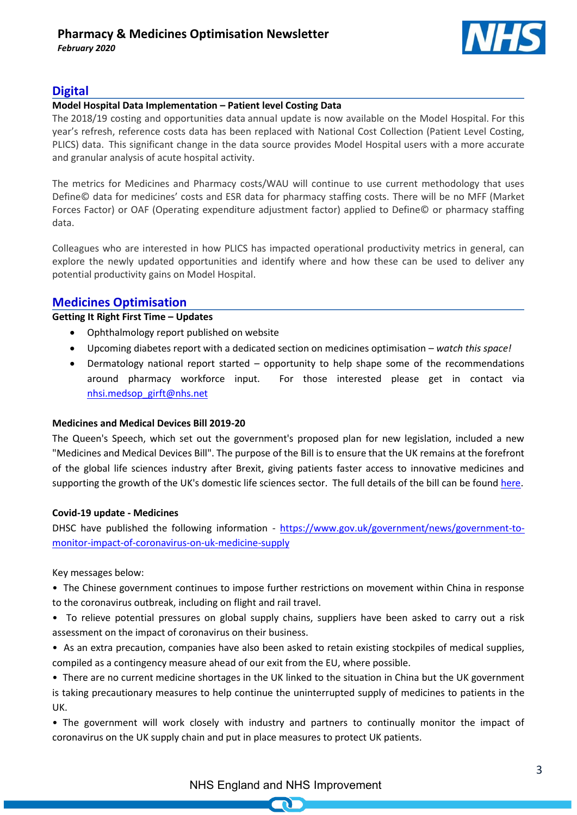

# **Digital**

#### **Model Hospital Data Implementation – Patient level Costing Data**

The 2018/19 costing and opportunities data annual update is now available on the Model Hospital. For this year's refresh, reference costs data has been replaced with National Cost Collection (Patient Level Costing, PLICS) data.  This significant change in the data source provides Model Hospital users with a more accurate and granular analysis of acute hospital activity.

The metrics for Medicines and Pharmacy costs/WAU will continue to use current methodology that uses Define© data for medicines' costs and ESR data for pharmacy staffing costs. There will be no MFF (Market Forces Factor) or OAF (Operating expenditure adjustment factor) applied to Define© or pharmacy staffing data.

Colleagues who are interested in how PLICS has impacted operational productivity metrics in general, can explore the newly updated opportunities and identify where and how these can be used to deliver any potential productivity gains on Model Hospital.

## **Medicines Optimisation**

## **Getting It Right First Time – Updates**

- Ophthalmology report published on website
- Upcoming diabetes report with a dedicated section on medicines optimisation *watch this space!*
- Dermatology national report started opportunity to help shape some of the recommendations around pharmacy workforce input. For those interested please get in contact via [nhsi.medsop\\_girft@nhs.net](mailto:nhsi.medsop_girft@nhs.net)

#### **Medicines and Medical Devices Bill 2019-20**

The Queen's Speech, which set out the government's proposed plan for new legislation, included a new "Medicines and Medical Devices Bill". The purpose of the Bill is to ensure that the UK remains at the forefront of the global life sciences industry after Brexit, giving patients faster access to innovative medicines and supporting the growth of the UK's domestic life sciences sector. The full details of the bill can be foun[d here.](https://services.parliament.uk/Bills/2019-20/medicinesandmedicaldevices.html)

#### **Covid-19 update - Medicines**

DHSC have published the following information - [https://www.gov.uk/government/news/government-to](https://www.gov.uk/government/news/government-to-monitor-impact-of-coronavirus-on-uk-medicine-supply)[monitor-impact-of-coronavirus-on-uk-medicine-supply](https://www.gov.uk/government/news/government-to-monitor-impact-of-coronavirus-on-uk-medicine-supply)

Key messages below:

• The Chinese government continues to impose further restrictions on movement within China in response to the coronavirus outbreak, including on flight and rail travel.

- To relieve potential pressures on global supply chains, suppliers have been asked to carry out a risk assessment on the impact of coronavirus on their business.
- As an extra precaution, companies have also been asked to retain existing stockpiles of medical supplies, compiled as a contingency measure ahead of our exit from the EU, where possible.

• There are no current medicine shortages in the UK linked to the situation in China but the UK government is taking precautionary measures to help continue the uninterrupted supply of medicines to patients in the UK.

• The government will work closely with industry and partners to continually monitor the impact of coronavirus on the UK supply chain and put in place measures to protect UK patients.

NHS England and NHS Improvement